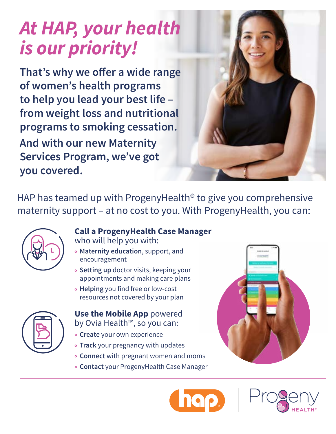# *At HAP, your health is our priority!*

That's why we offer a wide range **of women's health programs to help you lead your best life – from weight loss and nutritional programs to smoking cessation. And with our new Maternity Services Program, we've got you covered.** 

HAP has teamed up with ProgenyHealth® to give you comprehensive maternity support – at no cost to you. With ProgenyHealth, you can:



### **Call a ProgenyHealth Case Manager**

- who will help you with:
- • **Maternity education**, support, and encouragement
- • **Setting up** doctor visits, keeping your appointments and making care plans
- • **Helping** you find free or low-cost resources not covered by your plan

**Use the Mobile App** powered by Ovia Health™, so you can:

- **Create** your own experience
- **Track** your pregnancy with updates
- **Connect** with pregnant women and moms
- **Contact** your ProgenyHealth Case Manager